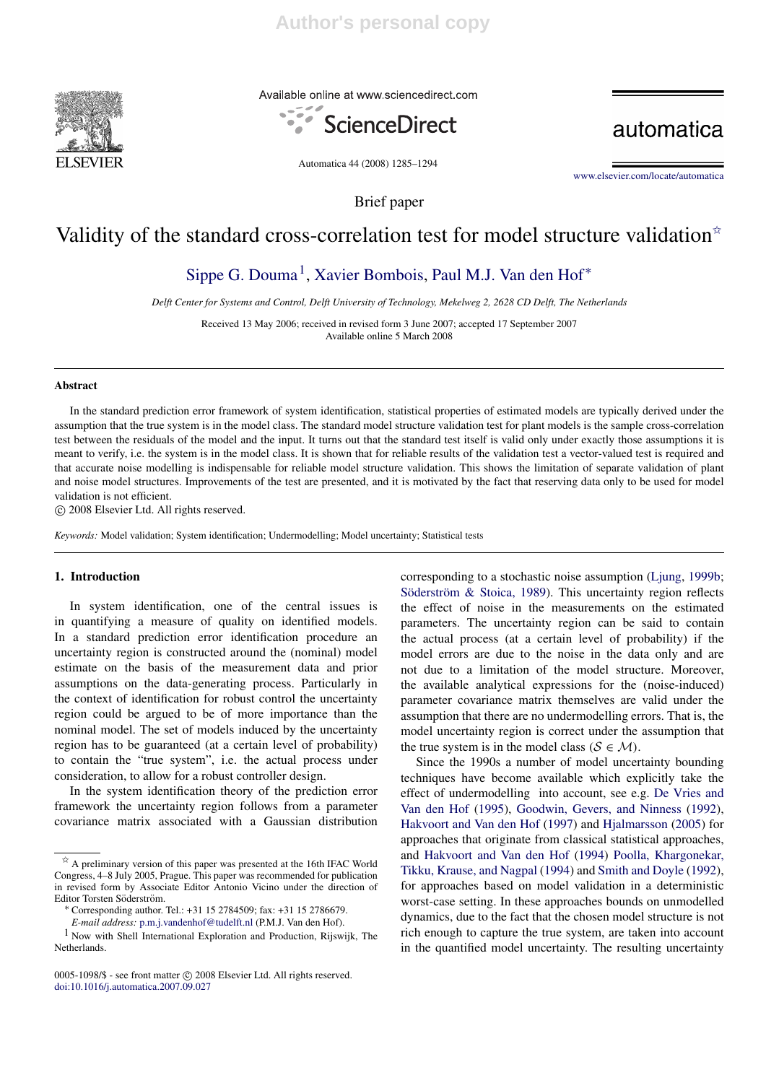

Available online at www.sciencedirect.com



automatica

Automatica 44 (2008) 1285–1294

www.elsevier.com/locate/automatica

# Validity of the standard cross-correlation test for model structure validation<sup> $\dot{\mathbf{x}}$ </sup>

Brief paper

# Sippe G. Douma<sup>1</sup>, Xavier Bombois, Paul M.J. Van den Hof<sup>\*</sup>

*Delft Center for Systems and Control, Delft University of Technology, Mekelweg 2, 2628 CD Delft, The Netherlands*

Received 13 May 2006; received in revised form 3 June 2007; accepted 17 September 2007 Available online 5 March 2008

## Abstract

In the standard prediction error framework of system identification, statistical properties of estimated models are typically derived under the assumption that the true system is in the model class. The standard model structure validation test for plant models is the sample cross-correlation test between the residuals of the model and the input. It turns out that the standard test itself is valid only under exactly those assumptions it is meant to verify, i.e. the system is in the model class. It is shown that for reliable results of the validation test a vector-valued test is required and that accurate noise modelling is indispensable for reliable model structure validation. This shows the limitation of separate validation of plant and noise model structures. Improvements of the test are presented, and it is motivated by the fact that reserving data only to be used for model validation is not efficient.

c 2008 Elsevier Ltd. All rights reserved.

*Keywords:* Model validation; System identification; Undermodelling; Model uncertainty; Statistical tests

## 1. Introduction

In system identification, one of the central issues is in quantifying a measure of quality on identified models. In a standard prediction error identification procedure an uncertainty region is constructed around the (nominal) model estimate on the basis of the measurement data and prior assumptions on the data-generating process. Particularly in the context of identification for robust control the uncertainty region could be argued to be of more importance than the nominal model. The set of models induced by the uncertainty region has to be guaranteed (at a certain level of probability) to contain the "true system", i.e. the actual process under consideration, to allow for a robust controller design.

In the system identification theory of the prediction error framework the uncertainty region follows from a parameter covariance matrix associated with a Gaussian distribution corresponding to a stochastic noise assumption (Ljung, 1999b; Söderström & Stoica, 1989). This uncertainty region reflects the effect of noise in the measurements on the estimated parameters. The uncertainty region can be said to contain the actual process (at a certain level of probability) if the model errors are due to the noise in the data only and are not due to a limitation of the model structure. Moreover, the available analytical expressions for the (noise-induced) parameter covariance matrix themselves are valid under the assumption that there are no undermodelling errors. That is, the model uncertainty region is correct under the assumption that the true system is in the model class ( $S \in \mathcal{M}$ ).

Since the 1990s a number of model uncertainty bounding techniques have become available which explicitly take the effect of undermodelling into account, see e.g. De Vries and Van den Hof (1995), Goodwin, Gevers, and Ninness (1992), Hakvoort and Van den Hof (1997) and Hjalmarsson (2005) for approaches that originate from classical statistical approaches, and Hakvoort and Van den Hof (1994) Poolla, Khargonekar, Tikku, Krause, and Nagpal (1994) and Smith and Doyle (1992), for approaches based on model validation in a deterministic worst-case setting. In these approaches bounds on unmodelled dynamics, due to the fact that the chosen model structure is not rich enough to capture the true system, are taken into account in the quantified model uncertainty. The resulting uncertainty

 $\overleftrightarrow{x}$  A preliminary version of this paper was presented at the 16th IFAC World Congress, 4–8 July 2005, Prague. This paper was recommended for publication in revised form by Associate Editor Antonio Vicino under the direction of Editor Torsten Söderström.

<sup>∗</sup> Corresponding author. Tel.: +31 15 2784509; fax: +31 15 2786679.

*E-mail address:* p.m.j.vandenhof@tudelft.nl (P.M.J. Van den Hof).

<sup>1</sup> Now with Shell International Exploration and Production, Rijswijk, The Netherlands.

<sup>0005-1098/\$ -</sup> see front matter  $\odot$  2008 Elsevier Ltd. All rights reserved. doi:10.1016/j.automatica.2007.09.027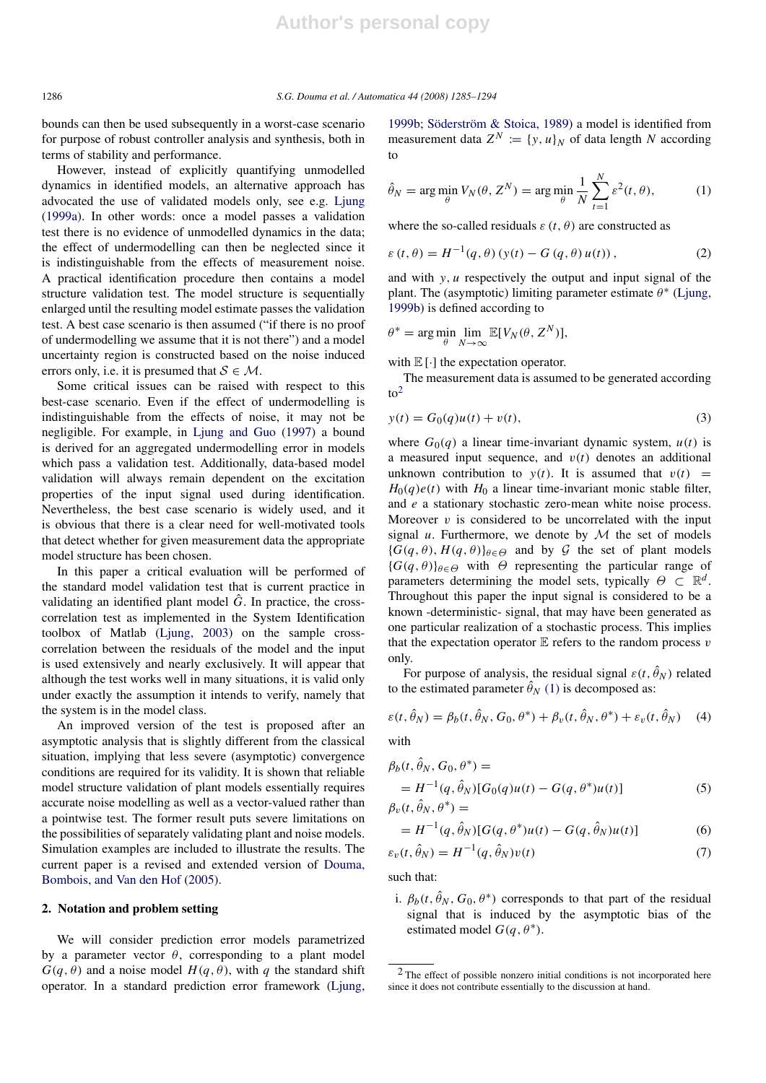bounds can then be used subsequently in a worst-case scenario for purpose of robust controller analysis and synthesis, both in terms of stability and performance.

However, instead of explicitly quantifying unmodelled dynamics in identified models, an alternative approach has advocated the use of validated models only, see e.g. Ljung (1999a). In other words: once a model passes a validation test there is no evidence of unmodelled dynamics in the data; the effect of undermodelling can then be neglected since it is indistinguishable from the effects of measurement noise. A practical identification procedure then contains a model structure validation test. The model structure is sequentially enlarged until the resulting model estimate passes the validation test. A best case scenario is then assumed ("if there is no proof of undermodelling we assume that it is not there") and a model uncertainty region is constructed based on the noise induced errors only, i.e. it is presumed that  $S \in \mathcal{M}$ .

Some critical issues can be raised with respect to this best-case scenario. Even if the effect of undermodelling is indistinguishable from the effects of noise, it may not be negligible. For example, in Ljung and Guo (1997) a bound is derived for an aggregated undermodelling error in models which pass a validation test. Additionally, data-based model validation will always remain dependent on the excitation properties of the input signal used during identification. Nevertheless, the best case scenario is widely used, and it is obvious that there is a clear need for well-motivated tools that detect whether for given measurement data the appropriate model structure has been chosen.

In this paper a critical evaluation will be performed of the standard model validation test that is current practice in validating an identified plant model  $\tilde{G}$ . In practice, the crosscorrelation test as implemented in the System Identification toolbox of Matlab (Ljung, 2003) on the sample crosscorrelation between the residuals of the model and the input is used extensively and nearly exclusively. It will appear that although the test works well in many situations, it is valid only under exactly the assumption it intends to verify, namely that the system is in the model class.

An improved version of the test is proposed after an asymptotic analysis that is slightly different from the classical situation, implying that less severe (asymptotic) convergence conditions are required for its validity. It is shown that reliable model structure validation of plant models essentially requires accurate noise modelling as well as a vector-valued rather than a pointwise test. The former result puts severe limitations on the possibilities of separately validating plant and noise models. Simulation examples are included to illustrate the results. The current paper is a revised and extended version of Douma, Bombois, and Van den Hof (2005).

### 2. Notation and problem setting

We will consider prediction error models parametrized by a parameter vector  $\theta$ , corresponding to a plant model  $G(q, \theta)$  and a noise model  $H(q, \theta)$ , with *q* the standard shift operator. In a standard prediction error framework (Ljung,

1999b; Söderström & Stoica, 1989) a model is identified from measurement data  $Z^N := \{y, u\}_N$  of data length *N* according to

$$
\hat{\theta}_N = \arg\min_{\theta} V_N(\theta, Z^N) = \arg\min_{\theta} \frac{1}{N} \sum_{t=1}^N \varepsilon^2(t, \theta), \tag{1}
$$

where the so-called residuals  $\varepsilon$  (*t*,  $\theta$ ) are constructed as

$$
\varepsilon(t,\theta) = H^{-1}(q,\theta) (y(t) - G(q,\theta) u(t)),
$$
 (2)

and with *y*, *u* respectively the output and input signal of the plant. The (asymptotic) limiting parameter estimate  $\theta^*$  (Ljung, 1999b) is defined according to

$$
\theta^* = \arg\min_{\theta} \lim_{N \to \infty} \mathbb{E}[V_N(\theta, Z^N)],
$$

with  $\mathbb{E}[\cdot]$  the expectation operator.

The measurement data is assumed to be generated according  $to<sup>2</sup>$ 

$$
y(t) = G_0(q)u(t) + v(t),
$$
\n(3)

where  $G_0(q)$  a linear time-invariant dynamic system,  $u(t)$  is a measured input sequence, and  $v(t)$  denotes an additional unknown contribution to  $y(t)$ . It is assumed that  $v(t)$  =  $H_0(q)e(t)$  with  $H_0$  a linear time-invariant monic stable filter, and *e* a stationary stochastic zero-mean white noise process. Moreover  $v$  is considered to be uncorrelated with the input signal  $u$ . Furthermore, we denote by  $M$  the set of models  ${G(q, \theta), H(q, \theta)}_{\theta \in \Theta}$  and by G the set of plant models  ${G(q, \theta)}_{\theta \in \Theta}$  with  $\Theta$  representing the particular range of parameters determining the model sets, typically  $\Theta \subset \mathbb{R}^d$ . Throughout this paper the input signal is considered to be a known -deterministic- signal, that may have been generated as one particular realization of a stochastic process. This implies that the expectation operator  $E$  refers to the random process  $v$ only.

For purpose of analysis, the residual signal  $\varepsilon(t, \hat{\theta}_N)$  related to the estimated parameter  $\hat{\theta}_N$  (1) is decomposed as:

$$
\varepsilon(t, \hat{\theta}_N) = \beta_b(t, \hat{\theta}_N, G_0, \theta^*) + \beta_v(t, \hat{\theta}_N, \theta^*) + \varepsilon_v(t, \hat{\theta}_N)
$$
 (4)  
with

$$
\beta_b(t, \hat{\theta}_N, G_0, \theta^*) =
$$
  
=  $H^{-1}(q, \hat{\theta}_N)[G_0(q)u(t) - G(q, \theta^*)u(t)]$  (5)  

$$
\beta_v(t, \hat{\theta}_N, \theta^*) =
$$

$$
\beta_v(t,\hat{\theta}_N,\theta^*)
$$

$$
=H^{-1}(q,\hat{\theta}_N)[G(q,\theta^*)u(t) - G(q,\hat{\theta}_N)u(t)]
$$
\n(6)

$$
\varepsilon_v(t, \hat{\theta}_N) = H^{-1}(q, \hat{\theta}_N)v(t) \tag{7}
$$

such that:

i.  $\beta_b(t, \hat{\theta}_N, G_0, \theta^*)$  corresponds to that part of the residual signal that is induced by the asymptotic bias of the estimated model  $G(q, \theta^*)$ .

<sup>2</sup> The effect of possible nonzero initial conditions is not incorporated here since it does not contribute essentially to the discussion at hand.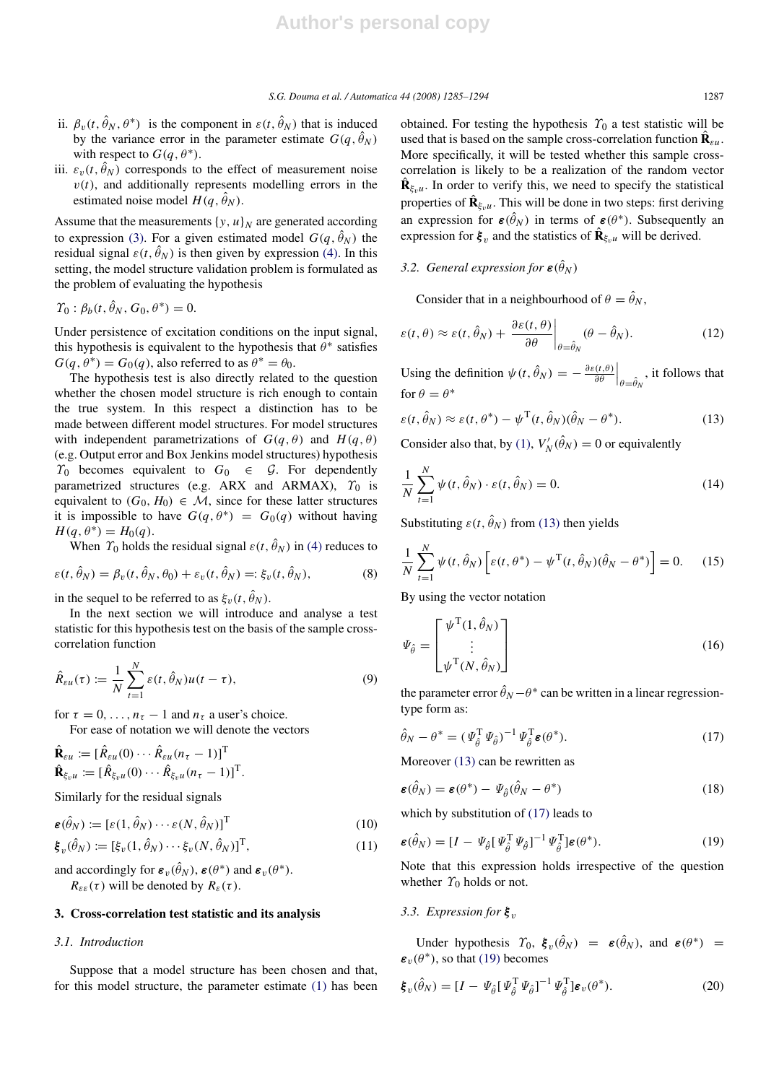- ii.  $\beta_v(t, \hat{\theta}_N, \theta^*)$  is the component in  $\varepsilon(t, \hat{\theta}_N)$  that is induced by the variance error in the parameter estimate  $G(q, \hat{\theta}_N)$ with respect to  $G(q, \theta^*)$ .
- iii.  $\varepsilon_v(t, \hat{\theta}_N)$  corresponds to the effect of measurement noise  $v(t)$ , and additionally represents modelling errors in the estimated noise model  $H(q, \hat{\theta}_N)$ .

Assume that the measurements  $\{y, u\}_N$  are generated according to expression (3). For a given estimated model  $G(q, \hat{\theta}_N)$  the residual signal  $\varepsilon(t, \hat{\theta}_N)$  is then given by expression (4). In this setting, the model structure validation problem is formulated as the problem of evaluating the hypothesis

$$
\Upsilon_0: \beta_b(t, \hat{\theta}_N, G_0, \theta^*) = 0.
$$

Under persistence of excitation conditions on the input signal, this hypothesis is equivalent to the hypothesis that  $\hat{\theta}^*$  satisfies  $G(q, \theta^*) = G_0(q)$ , also referred to as  $\theta^* = \theta_0$ .

The hypothesis test is also directly related to the question whether the chosen model structure is rich enough to contain the true system. In this respect a distinction has to be made between different model structures. For model structures with independent parametrizations of  $G(q, \theta)$  and  $H(q, \theta)$ (e.g. Output error and Box Jenkins model structures) hypothesis  $\gamma_0$  becomes equivalent to  $G_0 \in \mathcal{G}$ . For dependently parametrized structures (e.g. ARX and ARMAX),  $\gamma_0$  is equivalent to  $(G_0, H_0) \in \mathcal{M}$ , since for these latter structures it is impossible to have  $G(q, \theta^*) = G_0(q)$  without having  $H(q, \theta^*) = H_0(q).$ 

When  $\Upsilon_0$  holds the residual signal  $\varepsilon(t, \hat{\theta}_N)$  in (4) reduces to

$$
\varepsilon(t, \hat{\theta}_N) = \beta_v(t, \hat{\theta}_N, \theta_0) + \varepsilon_v(t, \hat{\theta}_N) =: \xi_v(t, \hat{\theta}_N),
$$
\n(8)

in the sequel to be referred to as  $\xi_v(t, \hat{\theta}_N)$ .

In the next section we will introduce and analyse a test statistic for this hypothesis test on the basis of the sample crosscorrelation function

$$
\hat{R}_{\varepsilon u}(\tau) := \frac{1}{N} \sum_{t=1}^{N} \varepsilon(t, \hat{\theta}_N) u(t - \tau), \tag{9}
$$

for  $\tau = 0, \ldots, n_{\tau} - 1$  and  $n_{\tau}$  a user's choice.

For ease of notation we will denote the vectors

$$
\hat{\mathbf{R}}_{\varepsilon u} := [\hat{R}_{\varepsilon u}(0) \cdots \hat{R}_{\varepsilon u}(n_{\tau} - 1)]^{\mathrm{T}} \n\hat{\mathbf{R}}_{\xi_v u} := [\hat{R}_{\xi_v u}(0) \cdots \hat{R}_{\xi_v u}(n_{\tau} - 1)]^{\mathrm{T}}.
$$

Similarly for the residual signals

$$
\boldsymbol{\varepsilon}(\hat{\theta}_N) := [\varepsilon(1, \hat{\theta}_N) \cdots \varepsilon(N, \hat{\theta}_N)]^{\mathrm{T}}
$$
(10)

$$
\boldsymbol{\xi}_v(\hat{\theta}_N) := [\xi_v(1, \hat{\theta}_N) \cdots \xi_v(N, \hat{\theta}_N)]^{\mathrm{T}},\tag{11}
$$

and accordingly for  $\boldsymbol{\varepsilon}_v(\hat{\theta}_N)$ ,  $\boldsymbol{\varepsilon}(\theta^*)$  and  $\boldsymbol{\varepsilon}_v(\theta^*)$ .  $R_{\varepsilon\varepsilon}(\tau)$  will be denoted by  $R_{\varepsilon}(\tau)$ .

### 3. Cross-correlation test statistic and its analysis

### *3.1. Introduction*

Suppose that a model structure has been chosen and that, for this model structure, the parameter estimate (1) has been obtained. For testing the hypothesis  $\gamma_0$  a test statistic will be used that is based on the sample cross-correlation function  $\hat{\mathbf{R}}_{\epsilon u}$ . More specifically, it will be tested whether this sample crosscorrelation is likely to be a realization of the random vector  $\hat{\mathbf{R}}_{\xi_v u}$ . In order to verify this, we need to specify the statistical properties of  $\hat{\mathbf{R}}_{\xi_v u}$ . This will be done in two steps: first deriving an expression for  $\epsilon(\hat{\theta}_N)$  in terms of  $\epsilon(\theta^*)$ . Subsequently an expression for  $\xi_v$  and the statistics of  $\hat{\mathbf{R}}_{\xi_v u}$  will be derived.

## *3.2. General expression for*  $\varepsilon(\hat{\theta}_N)$

Consider that in a neighbourhood of  $\theta = \hat{\theta}_N$ ,

$$
\varepsilon(t,\theta) \approx \varepsilon(t,\hat{\theta}_N) + \left. \frac{\partial \varepsilon(t,\theta)}{\partial \theta} \right|_{\theta=\hat{\theta}_N} (\theta - \hat{\theta}_N). \tag{12}
$$

Using the definition  $\psi(t, \hat{\theta}_N) = -\frac{\partial \varepsilon(t, \theta)}{\partial \theta}$  $\left.\frac{\partial \left(t,\theta\right)}{\partial \theta}\right|_{\theta=\hat{\theta}_N}$ , it follows that for  $\theta = \theta^*$ 

$$
\varepsilon(t, \hat{\theta}_N) \approx \varepsilon(t, \theta^*) - \psi^{\mathrm{T}}(t, \hat{\theta}_N)(\hat{\theta}_N - \theta^*).
$$
 (13)

Consider also that, by (1),  $V_N'(\hat{\theta}_N) = 0$  or equivalently

$$
\frac{1}{N} \sum_{t=1}^{N} \psi(t, \hat{\theta}_{N}) \cdot \varepsilon(t, \hat{\theta}_{N}) = 0.
$$
\n(14)

Substituting  $\varepsilon(t, \hat{\theta}_N)$  from (13) then yields

$$
\frac{1}{N} \sum_{t=1}^{N} \psi(t, \hat{\theta}_{N}) \left[ \varepsilon(t, \theta^{*}) - \psi^{T}(t, \hat{\theta}_{N})(\hat{\theta}_{N} - \theta^{*}) \right] = 0. \quad (15)
$$

By using the vector notation

$$
\Psi_{\hat{\theta}} = \begin{bmatrix} \psi^{\mathrm{T}}(1, \hat{\theta}_N) \\ \vdots \\ \psi^{\mathrm{T}}(N, \hat{\theta}_N) \end{bmatrix}
$$
 (16)

the parameter error  $\hat{\theta}_N - \theta^*$  can be written in a linear regressiontype form as:

$$
\hat{\theta}_N - \theta^* = (\varPsi_{\hat{\theta}}^{\mathrm{T}} \varPsi_{\hat{\theta}})^{-1} \varPsi_{\hat{\theta}}^{\mathrm{T}} \varepsilon(\theta^*).
$$
 (17)

Moreover (13) can be rewritten as

$$
\boldsymbol{\varepsilon}(\hat{\theta}_N) = \boldsymbol{\varepsilon}(\theta^*) - \Psi_{\hat{\theta}}(\hat{\theta}_N - \theta^*)
$$
\n(18)

which by substitution of (17) leads to

$$
\boldsymbol{\varepsilon}(\hat{\theta}_N) = [I - \Psi_{\hat{\theta}} [\Psi_{\hat{\theta}}^{\mathrm{T}} \Psi_{\hat{\theta}}]^{-1} \Psi_{\hat{\theta}}^{\mathrm{T}}] \boldsymbol{\varepsilon}(\theta^*).
$$
 (19)

Note that this expression holds irrespective of the question whether  $\Upsilon_0$  holds or not.

## *3.3. Expression for*  $\xi$ <sub>*v</sub>*</sub>

Under hypothesis  $\Upsilon_0$ ,  $\xi_v(\hat{\theta}_N) = \varepsilon(\hat{\theta}_N)$ , and  $\varepsilon(\theta^*) =$  $\varepsilon_v(\theta^*)$ , so that (19) becomes

$$
\boldsymbol{\xi}_v(\hat{\theta}_N) = [I - \boldsymbol{\varPsi}_{\hat{\theta}} [\boldsymbol{\varPsi}_{\hat{\theta}}^{\mathrm{T}} \boldsymbol{\varPsi}_{\hat{\theta}}]^{-1} \boldsymbol{\varPsi}_{\hat{\theta}}^{\mathrm{T}}] \boldsymbol{\varepsilon}_v(\theta^*).
$$
 (20)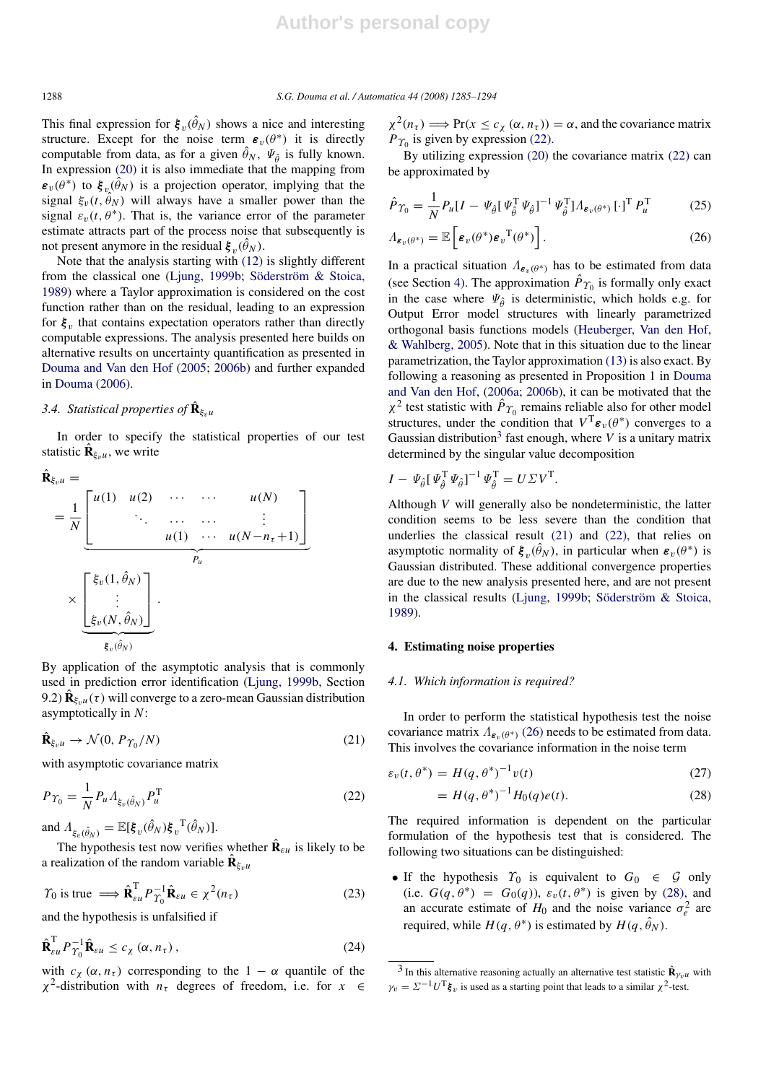This final expression for  $\xi_v(\hat{\theta}_N)$  shows a nice and interesting structure. Except for the noise term  $\varepsilon_v(\theta^*)$  it is directly computable from data, as for a given  $\hat{\theta}_N$ ,  $\Psi_{\hat{\theta}}$  is fully known. In expression (20) it is also immediate that the mapping from  $\epsilon_v(\theta^*)$  to  $\xi_v(\hat{\theta}_N)$  is a projection operator, implying that the signal  $\xi_v(t, \hat{\theta}_N)$  will always have a smaller power than the signal  $\varepsilon_v(t, \theta^*)$ . That is, the variance error of the parameter estimate attracts part of the process noise that subsequently is not present anymore in the residual  $\boldsymbol{\xi}_v(\hat{\theta}_N)$ .

Note that the analysis starting with (12) is slightly different from the classical one (Ljung, 1999b; Söderström  $\&$  Stoica, 1989) where a Taylor approximation is considered on the cost function rather than on the residual, leading to an expression for  $\xi_v$  that contains expectation operators rather than directly computable expressions. The analysis presented here builds on alternative results on uncertainty quantification as presented in Douma and Van den Hof (2005; 2006b) and further expanded in Douma (2006).

## 3.4. Statistical properties of  $\mathbf{\hat{R}}_{\xi_v u}$

In order to specify the statistical properties of our test statistic  $\hat{\mathbf{R}}_{\xi_v u}$ , we write

$$
\hat{\mathbf{R}}_{\xi_v u} = \frac{1}{N} \underbrace{\begin{bmatrix} u(1) & u(2) & \cdots & \cdots & u(N) \\ \vdots & \ddots & \cdots & \cdots & \vdots \\ u(1) & \cdots & u(N-n_{\tau}+1) \end{bmatrix}}_{P_u}
$$
\n
$$
\times \underbrace{\begin{bmatrix} \xi_v(1, \hat{\theta}_N) \\ \vdots \\ \xi_v(N, \hat{\theta}_N) \end{bmatrix}}_{\xi_v(\hat{\theta}_N)}.
$$

By application of the asymptotic analysis that is commonly used in prediction error identification (Ljung, 1999b, Section 9.2)  $\hat{\mathbf{R}}_{\xi_v u}(\tau)$  will converge to a zero-mean Gaussian distribution asymptotically in *N*:

$$
\hat{\mathbf{R}}_{\xi_v u} \to \mathcal{N}(0, P_{\Upsilon_0}/N) \tag{21}
$$

with asymptotic covariance matrix

$$
P_{\Upsilon_0} = \frac{1}{N} P_u \Lambda_{\xi_v(\hat{\theta}_N)} P_u^{\mathsf{T}}
$$
\n(22)

and  $\Lambda_{\xi_v(\hat{\theta}_N)} = \mathbb{E}[\xi_v(\hat{\theta}_N)\xi_v^{\mathrm{T}}(\hat{\theta}_N)].$ 

The hypothesis test now verifies whether  $\hat{\mathbf{R}}_{\epsilon u}$  is likely to be a realization of the random variable  $\hat{\mathbf{R}}_{\xi_v}$ 

$$
\Upsilon_0 \text{ is true } \Longrightarrow \hat{\mathbf{R}}_{\varepsilon u}^{\mathrm{T}} P_{\Upsilon_0}^{-1} \hat{\mathbf{R}}_{\varepsilon u} \in \chi^2(n_\tau) \tag{23}
$$

and the hypothesis is unfalsified if

$$
\hat{\mathbf{R}}_{\varepsilon u}^{\mathrm{T}} P_{\Upsilon_0}^{-1} \hat{\mathbf{R}}_{\varepsilon u} \le c_{\chi} (\alpha, n_{\tau}), \qquad (24)
$$

with  $c_{\chi}$  ( $\alpha$ ,  $n_{\tau}$ ) corresponding to the 1 –  $\alpha$  quantile of the  $\chi^2$ -distribution with  $n_\tau$  degrees of freedom, i.e. for  $x \in$ 

 $\chi^2(n_\tau) \Longrightarrow \Pr(x \leq c_\chi(\alpha, n_\tau)) = \alpha$ , and the covariance matrix  $P_{\Upsilon_0}$  is given by expression (22).

By utilizing expression (20) the covariance matrix (22) can be approximated by

$$
\hat{P}_{\Upsilon_0} = \frac{1}{N} P_u [I - \Psi_{\hat{\theta}} [\Psi_{\hat{\theta}}^{\mathrm{T}} \Psi_{\hat{\theta}}]^{-1} \Psi_{\hat{\theta}}^{\mathrm{T}}] \Lambda_{\varepsilon_v(\theta^*)} [\cdot]^{\mathrm{T}} P_u^{\mathrm{T}}
$$
(25)

$$
\Lambda_{\boldsymbol{\varepsilon}_v(\theta^*)} = \mathbb{E}\left[\boldsymbol{\varepsilon}_v(\theta^*)\boldsymbol{\varepsilon}_v^{\mathrm{T}}(\theta^*)\right].
$$
\n(26)

In a practical situation  $\Lambda_{\epsilon_n(\theta^*)}$  has to be estimated from data (see Section 4). The approximation  $\hat{P}_{T_0}$  is formally only exact in the case where  $\Psi_{\hat{\theta}}$  is deterministic, which holds e.g. for Output Error model structures with linearly parametrized orthogonal basis functions models (Heuberger, Van den Hof, & Wahlberg, 2005). Note that in this situation due to the linear parametrization, the Taylor approximation (13) is also exact. By following a reasoning as presented in Proposition 1 in Douma and Van den Hof, (2006a; 2006b), it can be motivated that the  $\chi^2$  test statistic with  $\hat{P}_{\Upsilon_0}$  remains reliable also for other model structures, under the condition that  $V^T \varepsilon_v(\theta^*)$  converges to a Gaussian distribution<sup>3</sup> fast enough, where  $V$  is a unitary matrix determined by the singular value decomposition

$$
I - \Psi_{\hat{\theta}} \left[ \Psi_{\hat{\theta}}^{\mathrm{T}} \Psi_{\hat{\theta}} \right]^{-1} \Psi_{\hat{\theta}}^{\mathrm{T}} = U \Sigma V^{\mathrm{T}}
$$

Although *V* will generally also be nondeterministic, the latter condition seems to be less severe than the condition that underlies the classical result (21) and (22), that relies on asymptotic normality of  $\xi_v(\hat{\theta}_N)$ , in particular when  $\varepsilon_v(\theta^*)$  is Gaussian distributed. These additional convergence properties are due to the new analysis presented here, and are not present in the classical results (Ljung, 1999b; Söderström & Stoica, 1989).

.

## 4. Estimating noise properties

### *4.1. Which information is required?*

In order to perform the statistical hypothesis test the noise covariance matrix  $\Lambda_{\varepsilon_n(\theta^*)}$  (26) needs to be estimated from data. This involves the covariance information in the noise term

$$
\varepsilon_v(t,\theta^*) = H(q,\theta^*)^{-1}v(t) \tag{27}
$$

$$
= H(q, \theta^*)^{-1} H_0(q)e(t).
$$
 (28)

The required information is dependent on the particular formulation of the hypothesis test that is considered. The following two situations can be distinguished:

• If the hypothesis  $\Upsilon_0$  is equivalent to  $G_0 \in \mathcal{G}$  only (i.e.  $G(q, \theta^*) = G_0(q)$ ),  $\varepsilon_v(t, \theta^*)$  is given by (28), and an accurate estimate of  $H_0$  and the noise variance  $\sigma_e^2$  are required, while  $H(q, \theta^*)$  is estimated by  $H(q, \hat{\theta}_N)$ .

<sup>&</sup>lt;sup>3</sup> In this alternative reasoning actually an alternative test statistic  $\hat{\mathbf{R}}_{\gamma_v u}$  with  $\gamma_v = \Sigma^{-1} U^{\mathrm{T}} \xi_v$  is used as a starting point that leads to a similar  $\chi^2$ -test.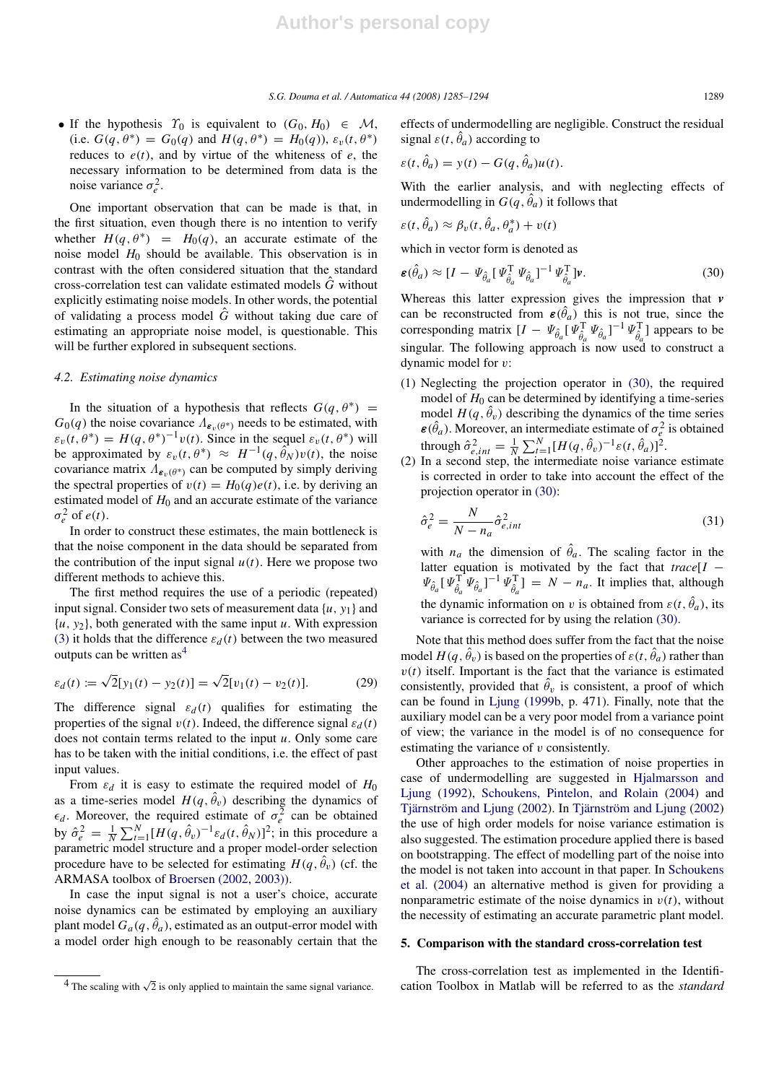• If the hypothesis  $\Upsilon_0$  is equivalent to  $(G_0, H_0) \in \mathcal{M}$ , (i.e.  $G(q, \theta^*) = G_0(q)$  and  $H(q, \theta^*) = H_0(q)$ ),  $\varepsilon_v(t, \theta^*)$ reduces to  $e(t)$ , and by virtue of the whiteness of  $e$ , the necessary information to be determined from data is the noise variance  $\sigma_e^2$ .

One important observation that can be made is that, in the first situation, even though there is no intention to verify whether  $H(q, \theta^*) = H_0(q)$ , an accurate estimate of the noise model  $H_0$  should be available. This observation is in contrast with the often considered situation that the standard cross-correlation test can validate estimated models *G*ˆ without explicitly estimating noise models. In other words, the potential of validating a process model *G*ˆ without taking due care of estimating an appropriate noise model, is questionable. This will be further explored in subsequent sections.

### *4.2. Estimating noise dynamics*

In the situation of a hypothesis that reflects  $G(q, \theta^*)$  =  $G_0(q)$  the noise covariance  $\Lambda_{\epsilon_v(\theta^*)}$  needs to be estimated, with  $\varepsilon_v(t, \theta^*) = H(q, \theta^*)^{-1}v(t)$ . Since in the sequel  $\varepsilon_v(t, \theta^*)$  will be approximated by  $\varepsilon_v(t, \theta^*) \approx H^{-1}(q, \hat{\theta}_N)v(t)$ , the noise covariance matrix  $\Lambda_{\epsilon_v(\theta^*)}$  can be computed by simply deriving the spectral properties of  $v(t) = H_0(q)e(t)$ , i.e. by deriving an estimated model of  $H_0$  and an accurate estimate of the variance  $\sigma_e^2$  of *e*(*t*).

In order to construct these estimates, the main bottleneck is that the noise component in the data should be separated from the contribution of the input signal  $u(t)$ . Here we propose two different methods to achieve this.

The first method requires the use of a periodic (repeated) input signal. Consider two sets of measurement data {*u*, *y*1} and  $\{u, y_2\}$ , both generated with the same input *u*. With expression (3) it holds that the difference  $\varepsilon_d(t)$  between the two measured outputs can be written  $as<sup>4</sup>$ 

$$
\varepsilon_d(t) := \sqrt{2}[y_1(t) - y_2(t)] = \sqrt{2}[v_1(t) - v_2(t)].
$$
 (29)

The difference signal  $\varepsilon_d(t)$  qualifies for estimating the properties of the signal  $v(t)$ . Indeed, the difference signal  $\varepsilon_d(t)$ does not contain terms related to the input *u*. Only some care has to be taken with the initial conditions, i.e. the effect of past input values.

From  $\varepsilon_d$  it is easy to estimate the required model of  $H_0$ as a time-series model  $H(q, \hat{\theta}_v)$  describing the dynamics of  $\epsilon_d$ . Moreover, the required estimate of  $\sigma_e^2$  can be obtained by  $\hat{\sigma}_e^2 = \frac{1}{N} \sum_{t=1}^N [H(q, \hat{\theta}_v)^{-1} \varepsilon_d(t, \hat{\theta}_N)]^2$ ; in this procedure a parametric model structure and a proper model-order selection procedure have to be selected for estimating  $H(q, \hat{\theta}_v)$  (cf. the ARMASA toolbox of Broersen (2002, 2003)).

In case the input signal is not a user's choice, accurate noise dynamics can be estimated by employing an auxiliary plant model  $G_a(q, \hat{\theta}_a)$ , estimated as an output-error model with a model order high enough to be reasonably certain that the effects of undermodelling are negligible. Construct the residual signal  $\varepsilon(t, \hat{\theta}_a)$  according to

$$
\varepsilon(t, \hat{\theta}_a) = y(t) - G(q, \hat{\theta}_a)u(t).
$$

With the earlier analysis, and with neglecting effects of undermodelling in  $G(q, \hat{\theta}_a)$  it follows that

$$
\varepsilon(t, \hat{\theta}_a) \approx \beta_v(t, \hat{\theta}_a, \theta_a^*) + v(t)
$$

which in vector form is denoted as

$$
\boldsymbol{\varepsilon}(\hat{\theta}_a) \approx [I - \Psi_{\hat{\theta}_a} [\Psi_{\hat{\theta}_a}^{\mathrm{T}} \Psi_{\hat{\theta}_a}]^{-1} \Psi_{\hat{\theta}_a}^{\mathrm{T}} ] \mathbf{v}.
$$
\n(30)

Whereas this latter expression gives the impression that *v* can be reconstructed from  $\epsilon(\hat{\theta}_a)$  this is not true, since the corresponding matrix  $[I - \Psi_{\hat{\theta}_a}^T [\Psi_{\hat{\theta}_a}^T \Psi_{\hat{\theta}_a}]^{-1} \Psi_{\hat{\theta}_a}^T]$  appears to be singular. The following approach is now used to construct a dynamic model for v:

- (1) Neglecting the projection operator in (30), the required model of  $H_0$  can be determined by identifying a time-series model  $H(q, \hat{\theta}_v)$  describing the dynamics of the time series  $\epsilon(\hat{\theta}_a)$ . Moreover, an intermediate estimate of  $\sigma_e^2$  is obtained through  $\hat{\sigma}_{e, int}^2 = \frac{1}{N} \sum_{t=1}^{N} [H(q, \hat{\theta}_v)^{-1} \varepsilon(t, \hat{\theta}_a)]^2$ .
- (2) In a second step, the intermediate noise variance estimate is corrected in order to take into account the effect of the projection operator in (30):

$$
\hat{\sigma}_e^2 = \frac{N}{N - n_a} \hat{\sigma}_{e, int}^2 \tag{31}
$$

with  $n_a$  the dimension of  $\hat{\theta}_a$ . The scaling factor in the latter equation is motivated by the fact that *trace*[*I* −  $\Psi_{\hat{\theta}_a}[\Psi_{\hat{\theta}_a}^T \Psi_{\hat{\theta}_a}]^{-1} \Psi_{\hat{\theta}_a}^T] = N - n_a$ . It implies that, although the dynamic information on v is obtained from  $\varepsilon(t, \hat{\theta}_a)$ , its variance is corrected for by using the relation (30).

Note that this method does suffer from the fact that the noise model  $H(q, \hat{\theta}_v)$  is based on the properties of  $\varepsilon(t, \hat{\theta}_a)$  rather than  $v(t)$  itself. Important is the fact that the variance is estimated consistently, provided that  $\hat{\theta}_v$  is consistent, a proof of which can be found in Ljung (1999b, p. 471). Finally, note that the auxiliary model can be a very poor model from a variance point of view; the variance in the model is of no consequence for estimating the variance of v consistently.

Other approaches to the estimation of noise properties in case of undermodelling are suggested in Hjalmarsson and Ljung (1992), Schoukens, Pintelon, and Rolain (2004) and Tjärnström and Ljung (2002). In Tjärnström and Ljung (2002) the use of high order models for noise variance estimation is also suggested. The estimation procedure applied there is based on bootstrapping. The effect of modelling part of the noise into the model is not taken into account in that paper. In Schoukens et al. (2004) an alternative method is given for providing a nonparametric estimate of the noise dynamics in  $v(t)$ , without the necessity of estimating an accurate parametric plant model.

## 5. Comparison with the standard cross-correlation test

The cross-correlation test as implemented in the Identification Toolbox in Matlab will be referred to as the *standard*

 $\frac{4}{4}$  The scaling with  $\sqrt{2}$  is only applied to maintain the same signal variance.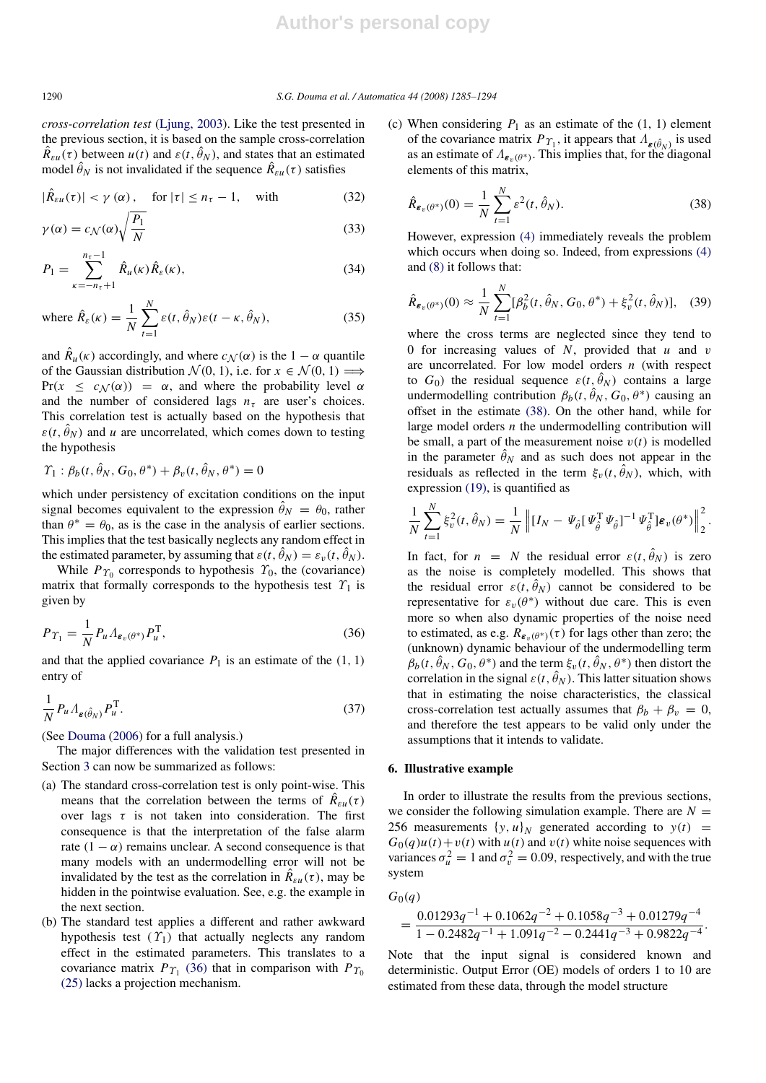*cross-correlation test* (Ljung, 2003). Like the test presented in the previous section, it is based on the sample cross-correlation  $\hat{R}_{\varepsilon u}(\tau)$  between  $u(t)$  and  $\varepsilon(t, \hat{\theta}_N)$ , and states that an estimated model  $\hat{\theta}_N$  is not invalidated if the sequence  $\hat{R}_{\varepsilon u}(\tau)$  satisfies

$$
|\hat{R}_{\varepsilon u}(\tau)| < \gamma(\alpha), \quad \text{for } |\tau| \le n_{\tau} - 1, \quad \text{with} \tag{32}
$$

$$
\gamma(\alpha) = c_{\mathcal{N}}(\alpha) \sqrt{\frac{P_1}{N}}
$$
\n(33)

$$
P_1 = \sum_{\kappa = -n_{\tau} + 1}^{n_{\tau} - 1} \hat{R}_{\mu}(\kappa) \hat{R}_{\varepsilon}(\kappa),
$$
 (34)

where 
$$
\hat{R}_{\varepsilon}(\kappa) = \frac{1}{N} \sum_{t=1}^{N} \varepsilon(t, \hat{\theta}_{N}) \varepsilon(t - \kappa, \hat{\theta}_{N}),
$$
 (35)

and  $\hat{R}_u(\kappa)$  accordingly, and where  $c_{\mathcal{N}}(\alpha)$  is the  $1 - \alpha$  quantile of the Gaussian distribution  $\mathcal{N}(0, 1)$ , i.e. for  $x \in \mathcal{N}(0, 1) \Longrightarrow$ Pr( $x \leq c_N(\alpha)$ ) =  $\alpha$ , and where the probability level  $\alpha$ and the number of considered lags  $n<sub>\tau</sub>$  are user's choices. This correlation test is actually based on the hypothesis that  $\varepsilon(t, \theta_N)$  and *u* are uncorrelated, which comes down to testing the hypothesis

$$
\Upsilon_1 : \beta_b(t, \hat{\theta}_N, G_0, \theta^*) + \beta_v(t, \hat{\theta}_N, \theta^*) = 0
$$

which under persistency of excitation conditions on the input signal becomes equivalent to the expression  $\hat{\theta}_N = \theta_0$ , rather than  $\theta^* = \theta_0$ , as is the case in the analysis of earlier sections. This implies that the test basically neglects any random effect in the estimated parameter, by assuming that  $\varepsilon(t, \hat{\theta}_N) = \varepsilon_v(t, \hat{\theta}_N)$ .

While  $P_{\Upsilon_0}$  corresponds to hypothesis  $\Upsilon_0$ , the (covariance) matrix that formally corresponds to the hypothesis test  $\Upsilon_1$  is given by

$$
P_{\Upsilon_1} = \frac{1}{N} P_u \Lambda_{\varepsilon_v(\theta^*)} P_u^{\mathrm{T}}, \tag{36}
$$

and that the applied covariance  $P_1$  is an estimate of the  $(1, 1)$ entry of

$$
\frac{1}{N} P_u \Lambda_{\varepsilon(\hat{\theta}_N)} P_u^{\mathrm{T}}.
$$
\n(37)

(See Douma (2006) for a full analysis.)

The major differences with the validation test presented in Section 3 can now be summarized as follows:

- (a) The standard cross-correlation test is only point-wise. This means that the correlation between the terms of  $\hat{R}_{\varepsilon u}(\tau)$ over lags  $\tau$  is not taken into consideration. The first consequence is that the interpretation of the false alarm rate  $(1 - \alpha)$  remains unclear. A second consequence is that many models with an undermodelling error will not be invalidated by the test as the correlation in  $\hat{R}_{\varepsilon u}(\tau)$ , may be hidden in the pointwise evaluation. See, e.g. the example in the next section.
- (b) The standard test applies a different and rather awkward hypothesis test  $(\Upsilon_1)$  that actually neglects any random effect in the estimated parameters. This translates to a covariance matrix  $P_{\Upsilon_1}$  (36) that in comparison with  $P_{\Upsilon_0}$ (25) lacks a projection mechanism.

(c) When considering  $P_1$  as an estimate of the  $(1, 1)$  element of the covariance matrix  $P_{\Upsilon_1}$ , it appears that  $\Lambda_{\varepsilon(\hat{\theta}_N)}$  is used as an estimate of  $\Lambda_{\epsilon_v(\theta^*)}$ . This implies that, for the diagonal elements of this matrix,

$$
\hat{R}_{\varepsilon_v(\theta^*)}(0) = \frac{1}{N} \sum_{t=1}^N \varepsilon^2(t, \hat{\theta}_N).
$$
\n(38)

However, expression (4) immediately reveals the problem which occurs when doing so. Indeed, from expressions (4) and (8) it follows that:

$$
\hat{R}_{\varepsilon_v(\theta^*)}(0) \approx \frac{1}{N} \sum_{t=1}^N [\beta_b^2(t, \hat{\theta}_N, G_0, \theta^*) + \xi_v^2(t, \hat{\theta}_N)], \quad (39)
$$

where the cross terms are neglected since they tend to 0 for increasing values of *N*, provided that *u* and v are uncorrelated. For low model orders *n* (with respect to  $G_0$ ) the residual sequence  $\varepsilon(t, \hat{\theta}_N)$  contains a large undermodelling contribution  $\beta_b(t, \hat{\theta}_N, G_0, \theta^*)$  causing an offset in the estimate (38). On the other hand, while for large model orders *n* the undermodelling contribution will be small, a part of the measurement noise  $v(t)$  is modelled in the parameter  $\hat{\theta}_N$  and as such does not appear in the residuals as reflected in the term  $\xi_v(t, \hat{\theta}_N)$ , which, with expression (19), is quantified as

$$
\frac{1}{N}\sum_{t=1}^N \xi_v^2(t,\hat{\theta}_N) = \frac{1}{N} \left\| [I_N - \Psi_{\hat{\theta}} \left[ \Psi_{\hat{\theta}}^T \Psi_{\hat{\theta}} \right]^{-1} \Psi_{\hat{\theta}}^T \right] \mathbf{\varepsilon}_v(\theta^*) \right\|_2^2.
$$

In fact, for  $n = N$  the residual error  $\varepsilon(t, \hat{\theta}_N)$  is zero as the noise is completely modelled. This shows that the residual error  $\varepsilon(t, \hat{\theta}_N)$  cannot be considered to be representative for  $\varepsilon_v(\theta^*)$  without due care. This is even more so when also dynamic properties of the noise need to estimated, as e.g.  $R_{\epsilon_v(\theta^*)}(\tau)$  for lags other than zero; the (unknown) dynamic behaviour of the undermodelling term  $\hat{\beta}_b(t, \hat{\theta}_N, G_0, \theta^*)$  and the term  $\xi_v(t, \hat{\theta}_N, \theta^*)$  then distort the correlation in the signal  $\varepsilon(t, \hat{\theta}_N)$ . This latter situation shows that in estimating the noise characteristics, the classical cross-correlation test actually assumes that  $\beta_b + \beta_v = 0$ , and therefore the test appears to be valid only under the assumptions that it intends to validate.

## 6. Illustrative example

In order to illustrate the results from the previous sections, we consider the following simulation example. There are  $N =$ 256 measurements  $\{y, u\}_N$  generated according to  $y(t)$  =  $G_0(q)u(t) + v(t)$  with  $u(t)$  and  $v(t)$  white noise sequences with variances  $\sigma_u^2 = 1$  and  $\sigma_v^2 = 0.09$ , respectively, and with the true system

$$
G_0(q)
$$

$$
=\frac{0.01293q^{-1}+0.1062q^{-2}+0.1058q^{-3}+0.01279q^{-4}}{1-0.2482q^{-1}+1.091q^{-2}-0.2441q^{-3}+0.9822q^{-4}}.
$$

Note that the input signal is considered known and deterministic. Output Error (OE) models of orders 1 to 10 are estimated from these data, through the model structure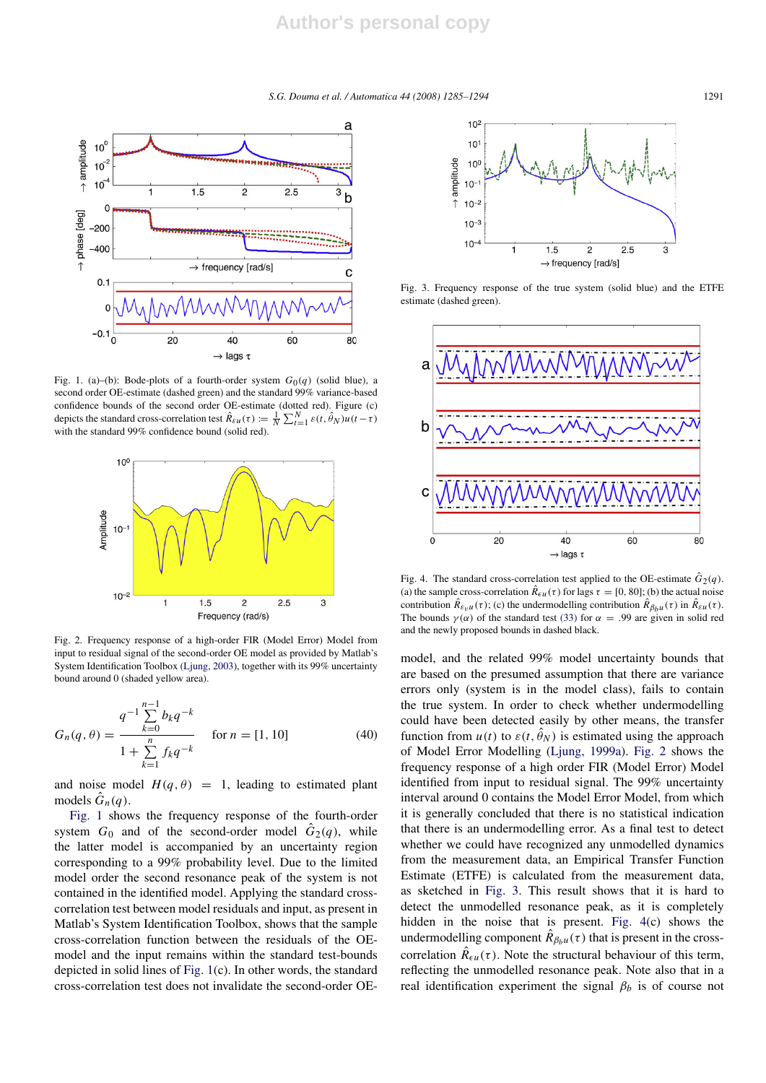*S.G. Douma et al. / Automatica 44 (2008) 1285–1294* 1291



Fig. 1. (a)–(b): Bode-plots of a fourth-order system  $G_0(q)$  (solid blue), a second order OE-estimate (dashed green) and the standard 99% variance-based confidence bounds of the second order OE-estimate (dotted red). Figure (c) depicts the standard cross-correlation test  $\hat{R}_{\varepsilon u}(\tau) := \frac{1}{N} \sum_{t=1}^{N} \varepsilon(t, \hat{\theta}_N) u(t - \tau)$ with the standard 99% confidence bound (solid red).



Fig. 2. Frequency response of a high-order FIR (Model Error) Model from input to residual signal of the second-order OE model as provided by Matlab's System Identification Toolbox (Ljung, 2003), together with its 99% uncertainty bound around 0 (shaded yellow area).

$$
G_n(q,\theta) = \frac{q^{-1} \sum_{k=0}^{n-1} b_k q^{-k}}{1 + \sum_{k=1}^n f_k q^{-k}} \quad \text{for } n = [1, 10]
$$
 (40)

and noise model  $H(q, \theta) = 1$ , leading to estimated plant models  $\hat{G}_n(q)$ .

Fig. 1 shows the frequency response of the fourth-order system  $G_0$  and of the second-order model  $\hat{G}_2(q)$ , while the latter model is accompanied by an uncertainty region corresponding to a 99% probability level. Due to the limited model order the second resonance peak of the system is not contained in the identified model. Applying the standard crosscorrelation test between model residuals and input, as present in Matlab's System Identification Toolbox, shows that the sample cross-correlation function between the residuals of the OEmodel and the input remains within the standard test-bounds depicted in solid lines of Fig. 1(c). In other words, the standard cross-correlation test does not invalidate the second-order OE-



Fig. 3. Frequency response of the true system (solid blue) and the ETFE estimate (dashed green).



Fig. 4. The standard cross-correlation test applied to the OE-estimate  $\hat{G}_2(q)$ . (a) the sample cross-correlation  $\hat{R}_{\epsilon u}(\tau)$  for lags  $\tau = [0, 80]$ ; (b) the actual noise contribution  $\hat{R}_{\varepsilon y u}(\tau)$ ; (c) the undermodelling contribution  $\hat{R}_{\beta_b u}(\tau)$  in  $\hat{R}_{\varepsilon u}(\tau)$ . The bounds  $\gamma(\alpha)$  of the standard test (33) for  $\alpha = .99$  are given in solid red and the newly proposed bounds in dashed black.

model, and the related 99% model uncertainty bounds that are based on the presumed assumption that there are variance errors only (system is in the model class), fails to contain the true system. In order to check whether undermodelling could have been detected easily by other means, the transfer function from  $u(t)$  to  $\varepsilon(t, \hat{\theta}_N)$  is estimated using the approach of Model Error Modelling (Ljung, 1999a). Fig. 2 shows the frequency response of a high order FIR (Model Error) Model identified from input to residual signal. The 99% uncertainty interval around 0 contains the Model Error Model, from which it is generally concluded that there is no statistical indication that there is an undermodelling error. As a final test to detect whether we could have recognized any unmodelled dynamics from the measurement data, an Empirical Transfer Function Estimate (ETFE) is calculated from the measurement data, as sketched in Fig. 3. This result shows that it is hard to detect the unmodelled resonance peak, as it is completely hidden in the noise that is present. Fig. 4(c) shows the undermodelling component  $\hat{R}_{\beta_b u}(\tau)$  that is present in the crosscorrelation  $\hat{R}_{\epsilon u}(\tau)$ . Note the structural behaviour of this term, reflecting the unmodelled resonance peak. Note also that in a real identification experiment the signal  $\beta_b$  is of course not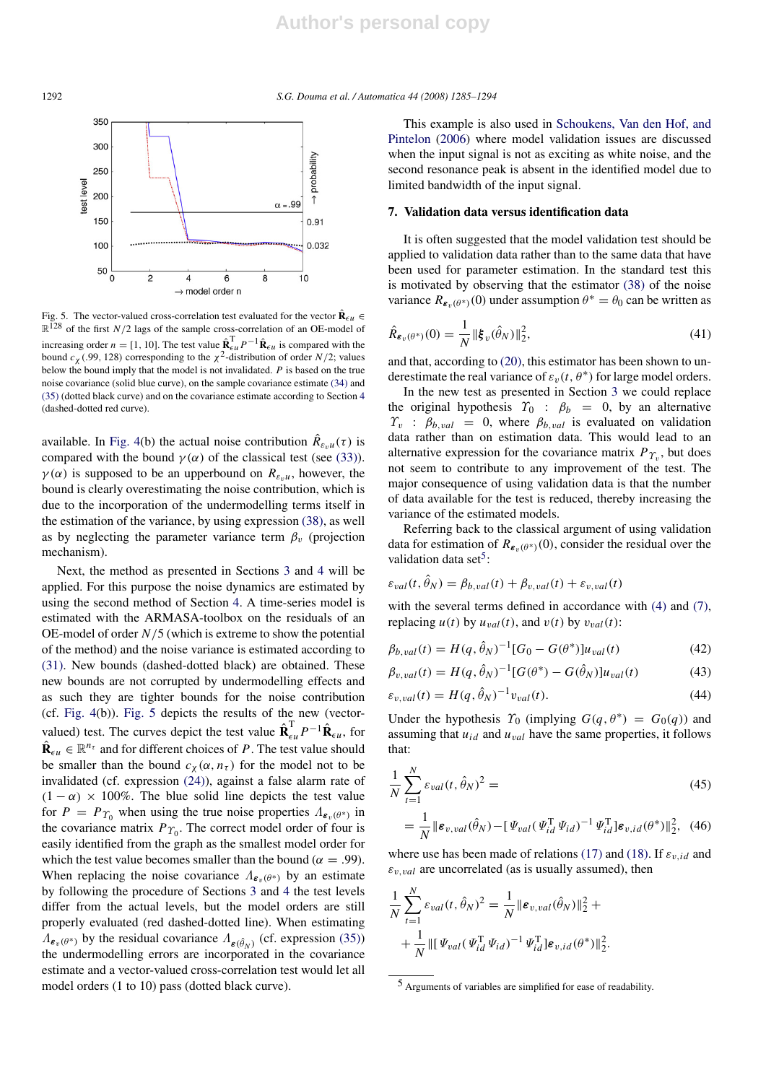1292 *S.G. Douma et al. / Automatica 44 (2008) 1285–1294*



Fig. 5. The vector-valued cross-correlation test evaluated for the vector  $\hat{\mathbf{R}}_{\epsilon u}$  $\mathbb{R}^{128}$  of the first *N*/2 lags of the sample cross-correlation of an OE-model of increasing order  $n = [1, 10]$ . The test value  $\hat{\bf R}_{\epsilon u}^T P^{-1} \hat{\bf R}_{\epsilon u}$  is compared with the bound  $c_{\chi}$  (.99, 128) corresponding to the  $\chi^2$ -distribution of order *N*/2; values below the bound imply that the model is not invalidated. *P* is based on the true noise covariance (solid blue curve), on the sample covariance estimate (34) and (35) (dotted black curve) and on the covariance estimate according to Section 4 (dashed-dotted red curve).

available. In Fig. 4(b) the actual noise contribution  $\hat{R}_{\varepsilon_v u}(\tau)$  is compared with the bound  $\gamma(\alpha)$  of the classical test (see (33)).  $\gamma(\alpha)$  is supposed to be an upperbound on  $R_{\varepsilon_n u}$ , however, the bound is clearly overestimating the noise contribution, which is due to the incorporation of the undermodelling terms itself in the estimation of the variance, by using expression (38), as well as by neglecting the parameter variance term  $\beta_v$  (projection mechanism).

Next, the method as presented in Sections 3 and 4 will be applied. For this purpose the noise dynamics are estimated by using the second method of Section 4. A time-series model is estimated with the ARMASA-toolbox on the residuals of an OE-model of order *N*/5 (which is extreme to show the potential of the method) and the noise variance is estimated according to (31). New bounds (dashed-dotted black) are obtained. These new bounds are not corrupted by undermodelling effects and as such they are tighter bounds for the noise contribution (cf. Fig. 4(b)). Fig. 5 depicts the results of the new (vectorvalued) test. The curves depict the test value  $\hat{\mathbf{R}}_{\epsilon u}^{\text{T}} P^{-1} \hat{\mathbf{R}}_{\epsilon u}$ , for  $\hat{\mathbf{R}}_{\epsilon u} \in \mathbb{R}^{n_{\tau}}$  and for different choices of *P*. The test value should be smaller than the bound  $c_{\chi}(\alpha, n_{\tau})$  for the model not to be invalidated (cf. expression (24)), against a false alarm rate of  $(1 - \alpha) \times 100\%$ . The blue solid line depicts the test value for  $P = P_{\Upsilon_0}$  when using the true noise properties  $\Lambda_{\varepsilon_v(\theta^*)}$  in the covariance matrix  $P_{\Upsilon_0}$ . The correct model order of four is easily identified from the graph as the smallest model order for which the test value becomes smaller than the bound ( $\alpha = .99$ ). When replacing the noise covariance  $\Lambda_{\epsilon_n(\theta^*)}$  by an estimate by following the procedure of Sections 3 and 4 the test levels differ from the actual levels, but the model orders are still properly evaluated (red dashed-dotted line). When estimating  $\Lambda_{\epsilon_v(\theta^*)}$  by the residual covariance  $\Lambda_{\epsilon(\hat{\theta}_N)}$  (cf. expression (35)) the undermodelling errors are incorporated in the covariance estimate and a vector-valued cross-correlation test would let all model orders (1 to 10) pass (dotted black curve).

This example is also used in Schoukens, Van den Hof, and Pintelon (2006) where model validation issues are discussed when the input signal is not as exciting as white noise, and the second resonance peak is absent in the identified model due to limited bandwidth of the input signal.

#### 7. Validation data versus identification data

It is often suggested that the model validation test should be applied to validation data rather than to the same data that have been used for parameter estimation. In the standard test this is motivated by observing that the estimator (38) of the noise variance  $R_{\epsilon_v(\theta^*)}(0)$  under assumption  $\theta^* = \theta_0$  can be written as

$$
\hat{R}_{\varepsilon_v(\theta^*)}(0) = \frac{1}{N} \|\xi_v(\hat{\theta}_N)\|_2^2,
$$
\n(41)

and that, according to (20), this estimator has been shown to underestimate the real variance of  $\varepsilon_v(t, \theta^*)$  for large model orders.

In the new test as presented in Section 3 we could replace the original hypothesis  $\Upsilon_0$  :  $\beta_b$  = 0, by an alternative  $\Upsilon_v$  :  $\beta_{b, val} = 0$ , where  $\beta_{b, val}$  is evaluated on validation data rather than on estimation data. This would lead to an alternative expression for the covariance matrix  $P_{\Upsilon_v}$ , but does not seem to contribute to any improvement of the test. The major consequence of using validation data is that the number of data available for the test is reduced, thereby increasing the variance of the estimated models.

Referring back to the classical argument of using validation data for estimation of  $R_{\varepsilon_v(\theta^*)}(0)$ , consider the residual over the validation data set<sup>5</sup>:

$$
\varepsilon_{val}(t, \hat{\theta}_N) = \beta_{b, val}(t) + \beta_{v, val}(t) + \varepsilon_{v, val}(t)
$$

with the several terms defined in accordance with (4) and (7). replacing  $u(t)$  by  $u_{val}(t)$ , and  $v(t)$  by  $v_{val}(t)$ :

$$
\beta_{b, val}(t) = H(q, \hat{\theta}_N)^{-1} [G_0 - G(\theta^*)] u_{val}(t)
$$
\n(42)

$$
\beta_{v, val}(t) = H(q, \hat{\theta}_N)^{-1} [G(\theta^*) - G(\hat{\theta}_N)] u_{val}(t)
$$
(43)

$$
\varepsilon_{v, val}(t) = H(q, \hat{\theta}_N)^{-1} v_{val}(t). \tag{44}
$$

Under the hypothesis  $\Upsilon_0$  (implying  $G(q, \theta^*) = G_0(q)$ ) and assuming that  $u_{id}$  and  $u_{val}$  have the same properties, it follows that:

$$
\frac{1}{N} \sum_{t=1}^{N} \varepsilon_{val}(t, \hat{\theta}_N)^2 = \tag{45}
$$

$$
= \frac{1}{N} \|\boldsymbol{\varepsilon}_{v, val}(\hat{\theta}_N) - [\boldsymbol{\varPsi}_{val}(\boldsymbol{\varPsi}_{id}^{\mathrm{T}} \boldsymbol{\varPsi}_{id})^{-1} \boldsymbol{\varPsi}_{id}^{\mathrm{T}}] \boldsymbol{\varepsilon}_{v, id}(\theta^*) \|_2^2, \tag{46}
$$

where use has been made of relations (17) and (18). If  $\varepsilon_{v, id}$  and  $\varepsilon$ <sub>*v*</sub> *y*<sub>al</sub> are uncorrelated (as is usually assumed), then

$$
\frac{1}{N} \sum_{t=1}^{N} \varepsilon_{val}(t, \hat{\theta}_{N})^{2} = \frac{1}{N} || \boldsymbol{\varepsilon}_{v, val}(\hat{\theta}_{N}) ||_{2}^{2} + \n+ \frac{1}{N} || [\boldsymbol{\Psi}_{val}(\boldsymbol{\Psi}_{id}^{T} \boldsymbol{\Psi}_{id})^{-1} \boldsymbol{\Psi}_{id}^{T}] \boldsymbol{\varepsilon}_{v, id}(\theta^{*}) ||_{2}^{2}.
$$

<sup>5</sup> Arguments of variables are simplified for ease of readability.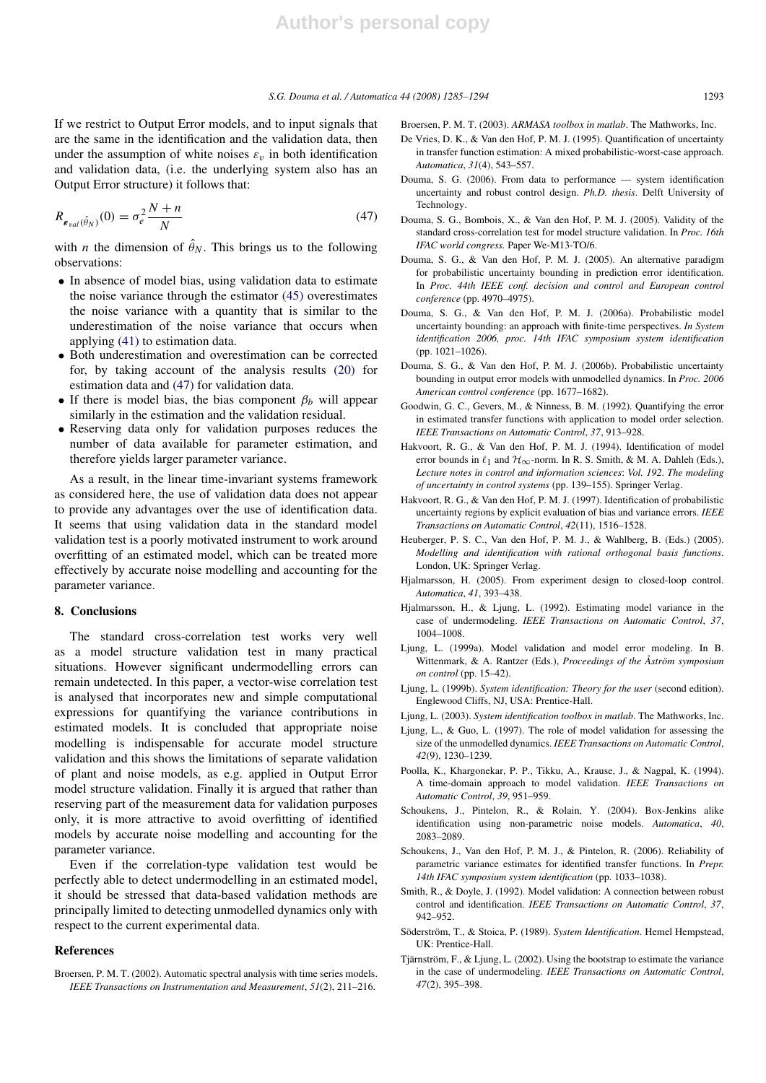If we restrict to Output Error models, and to input signals that are the same in the identification and the validation data, then under the assumption of white noises  $\varepsilon_v$  in both identification and validation data, (i.e. the underlying system also has an Output Error structure) it follows that:

$$
R_{\varepsilon_{val}(\hat{\theta}_N)}(0) = \sigma_e^2 \frac{N+n}{N}
$$
\n(47)

with *n* the dimension of  $\hat{\theta}_N$ . This brings us to the following observations:

- In absence of model bias, using validation data to estimate the noise variance through the estimator (45) overestimates the noise variance with a quantity that is similar to the underestimation of the noise variance that occurs when applying (41) to estimation data.
- Both underestimation and overestimation can be corrected for, by taking account of the analysis results (20) for estimation data and (47) for validation data.
- If there is model bias, the bias component  $\beta_b$  will appear similarly in the estimation and the validation residual.
- Reserving data only for validation purposes reduces the number of data available for parameter estimation, and therefore yields larger parameter variance.

As a result, in the linear time-invariant systems framework as considered here, the use of validation data does not appear to provide any advantages over the use of identification data. It seems that using validation data in the standard model validation test is a poorly motivated instrument to work around overfitting of an estimated model, which can be treated more effectively by accurate noise modelling and accounting for the parameter variance.

### 8. Conclusions

The standard cross-correlation test works very well as a model structure validation test in many practical situations. However significant undermodelling errors can remain undetected. In this paper, a vector-wise correlation test is analysed that incorporates new and simple computational expressions for quantifying the variance contributions in estimated models. It is concluded that appropriate noise modelling is indispensable for accurate model structure validation and this shows the limitations of separate validation of plant and noise models, as e.g. applied in Output Error model structure validation. Finally it is argued that rather than reserving part of the measurement data for validation purposes only, it is more attractive to avoid overfitting of identified models by accurate noise modelling and accounting for the parameter variance.

Even if the correlation-type validation test would be perfectly able to detect undermodelling in an estimated model, it should be stressed that data-based validation methods are principally limited to detecting unmodelled dynamics only with respect to the current experimental data.

### References

Broersen, P. M. T. (2002). Automatic spectral analysis with time series models. *IEEE Transactions on Instrumentation and Measurement*, *51*(2), 211–216. Broersen, P. M. T. (2003). *ARMASA toolbox in matlab*. The Mathworks, Inc.

- De Vries, D. K., & Van den Hof, P. M. J. (1995). Quantification of uncertainty in transfer function estimation: A mixed probabilistic-worst-case approach. *Automatica*, *31*(4), 543–557.
- Douma, S. G. (2006). From data to performance system identification uncertainty and robust control design. *Ph.D. thesis*. Delft University of Technology.
- Douma, S. G., Bombois, X., & Van den Hof, P. M. J. (2005). Validity of the standard cross-correlation test for model structure validation. In *Proc. 16th IFAC world congress.* Paper We-M13-TO/6.
- Douma, S. G., & Van den Hof, P. M. J. (2005). An alternative paradigm for probabilistic uncertainty bounding in prediction error identification. In *Proc. 44th IEEE conf. decision and control and European control conference* (pp. 4970–4975).
- Douma, S. G., & Van den Hof, P. M. J. (2006a). Probabilistic model uncertainty bounding: an approach with finite-time perspectives. *In System identification 2006, proc. 14th IFAC symposium system identification* (pp. 1021–1026).
- Douma, S. G., & Van den Hof, P. M. J. (2006b). Probabilistic uncertainty bounding in output error models with unmodelled dynamics. In *Proc. 2006 American control conference* (pp. 1677–1682).
- Goodwin, G. C., Gevers, M., & Ninness, B. M. (1992). Quantifying the error in estimated transfer functions with application to model order selection. *IEEE Transactions on Automatic Control*, *37*, 913–928.
- Hakvoort, R. G., & Van den Hof, P. M. J. (1994). Identification of model error bounds in  $\ell_1$  and  $\mathcal{H}_{\infty}$ -norm. In R. S. Smith, & M. A. Dahleh (Eds.), *Lecture notes in control and information sciences*: *Vol. 192*. *The modeling of uncertainty in control systems* (pp. 139–155). Springer Verlag.
- Hakvoort, R. G., & Van den Hof, P. M. J. (1997). Identification of probabilistic uncertainty regions by explicit evaluation of bias and variance errors. *IEEE Transactions on Automatic Control*, *42*(11), 1516–1528.
- Heuberger, P. S. C., Van den Hof, P. M. J., & Wahlberg, B. (Eds.) (2005). *Modelling and identification with rational orthogonal basis functions*. London, UK: Springer Verlag.
- Hjalmarsson, H. (2005). From experiment design to closed-loop control. *Automatica*, *41*, 393–438.
- Hjalmarsson, H., & Ljung, L. (1992). Estimating model variance in the case of undermodeling. *IEEE Transactions on Automatic Control*, *37*, 1004–1008.
- Ljung, L. (1999a). Model validation and model error modeling. In B. Wittenmark, & A. Rantzer (Eds.), *Proceedings of the Åström symposium on control* (pp. 15–42).
- Ljung, L. (1999b). *System identification: Theory for the user* (second edition). Englewood Cliffs, NJ, USA: Prentice-Hall.
- Ljung, L. (2003). *System identification toolbox in matlab*. The Mathworks, Inc.
- Ljung, L., & Guo, L. (1997). The role of model validation for assessing the size of the unmodelled dynamics. *IEEE Transactions on Automatic Control*, *42*(9), 1230–1239.
- Poolla, K., Khargonekar, P. P., Tikku, A., Krause, J., & Nagpal, K. (1994). A time-domain approach to model validation. *IEEE Transactions on Automatic Control*, *39*, 951–959.
- Schoukens, J., Pintelon, R., & Rolain, Y. (2004). Box-Jenkins alike identification using non-parametric noise models. *Automatica*, *40*, 2083–2089.
- Schoukens, J., Van den Hof, P. M. J., & Pintelon, R. (2006). Reliability of parametric variance estimates for identified transfer functions. In *Prepr. 14th IFAC symposium system identification* (pp. 1033–1038).
- Smith, R., & Doyle, J. (1992). Model validation: A connection between robust control and identification. *IEEE Transactions on Automatic Control*, *37*, 942–952.
- Söderström, T., & Stoica, P. (1989). System Identification. Hemel Hempstead, UK: Prentice-Hall.
- Tjärnström, F., & Ljung, L. (2002). Using the bootstrap to estimate the variance in the case of undermodeling. *IEEE Transactions on Automatic Control*, *47*(2), 395–398.